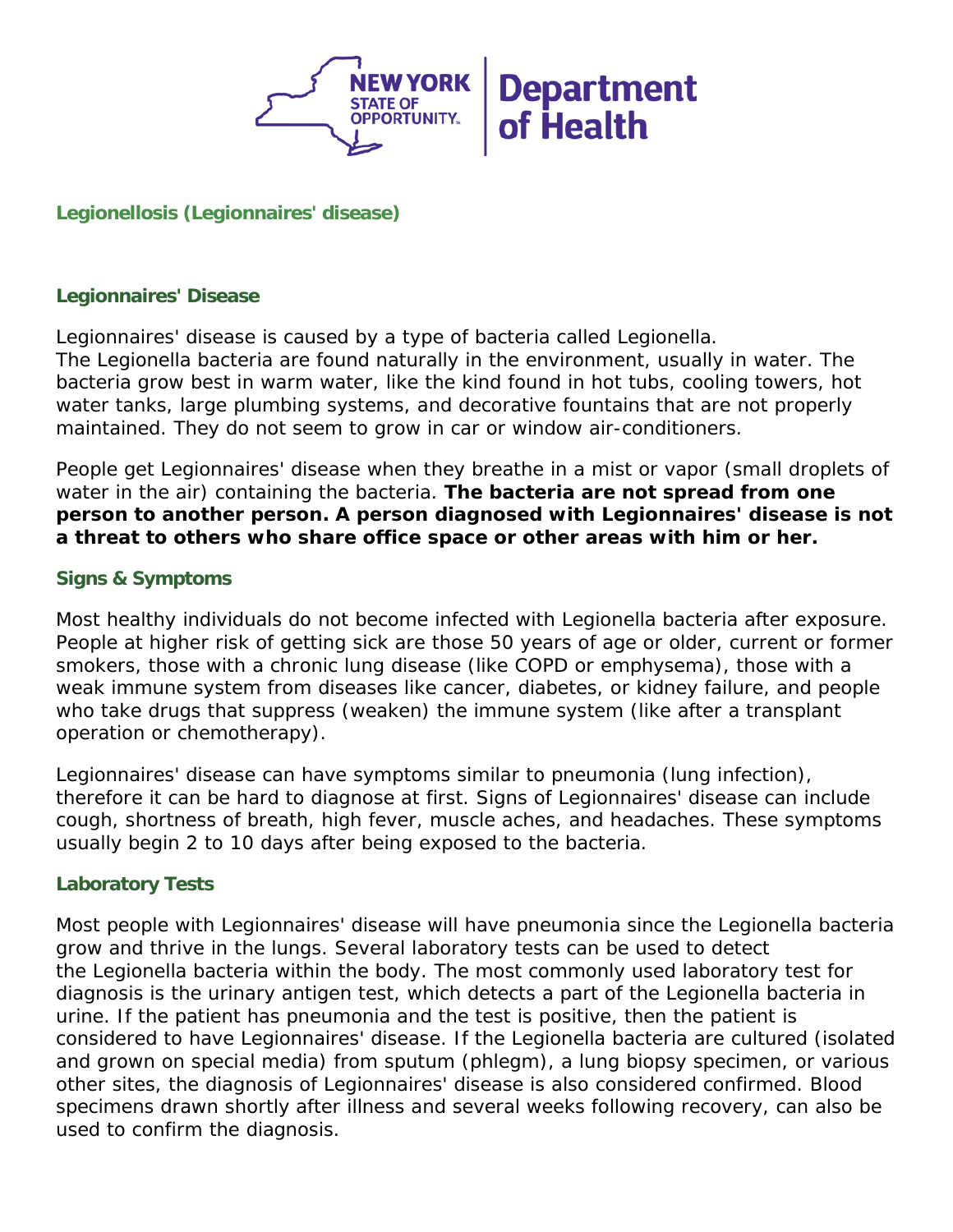

## **Legionellosis (Legionnaires' disease)**

#### **Legionnaires' Disease**

Legionnaires' disease is caused by a type of bacteria called *Legionella*. The *Legionella* bacteria are found naturally in the environment, usually in water. The bacteria grow best in warm water, like the kind found in hot tubs, cooling towers, hot water tanks, large plumbing systems, and decorative fountains that are not properly maintained. They do not seem to grow in car or window air-conditioners.

People get Legionnaires' disease when they breathe in a mist or vapor (small droplets of water in the air) containing the bacteria. **The bacteria are not spread from one person to another person. A person diagnosed with Legionnaires' disease is not a threat to others who share office space or other areas with him or her.**

#### **Signs & Symptoms**

Most healthy individuals do not become infected with *Legionella* bacteria after exposure. People at higher risk of getting sick are those 50 years of age or older, current or former smokers, those with a chronic lung disease (like COPD or emphysema), those with a weak immune system from diseases like cancer, diabetes, or kidney failure, and people who take drugs that suppress (weaken) the immune system (like after a transplant operation or chemotherapy).

Legionnaires' disease can have symptoms similar to pneumonia (lung infection), therefore it can be hard to diagnose at first. Signs of Legionnaires' disease can include cough, shortness of breath, high fever, muscle aches, and headaches. These symptoms usually begin 2 to 10 days after being exposed to the bacteria.

### **Laboratory Tests**

Most people with Legionnaires' disease will have pneumonia since the *Legionella* bacteria grow and thrive in the lungs. Several laboratory tests can be used to detect the *Legionella* bacteria within the body. The most commonly used laboratory test for diagnosis is the urinary antigen test, which detects a part of the *Legionella* bacteria in urine. If the patient has pneumonia and the test is positive, then the patient is considered to have Legionnaires' disease. If the *Legionella* bacteria are cultured (isolated and grown on special media) from sputum (phlegm), a lung biopsy specimen, or various other sites, the diagnosis of Legionnaires' disease is also considered confirmed. Blood specimens drawn shortly after illness and several weeks following recovery, can also be used to confirm the diagnosis.